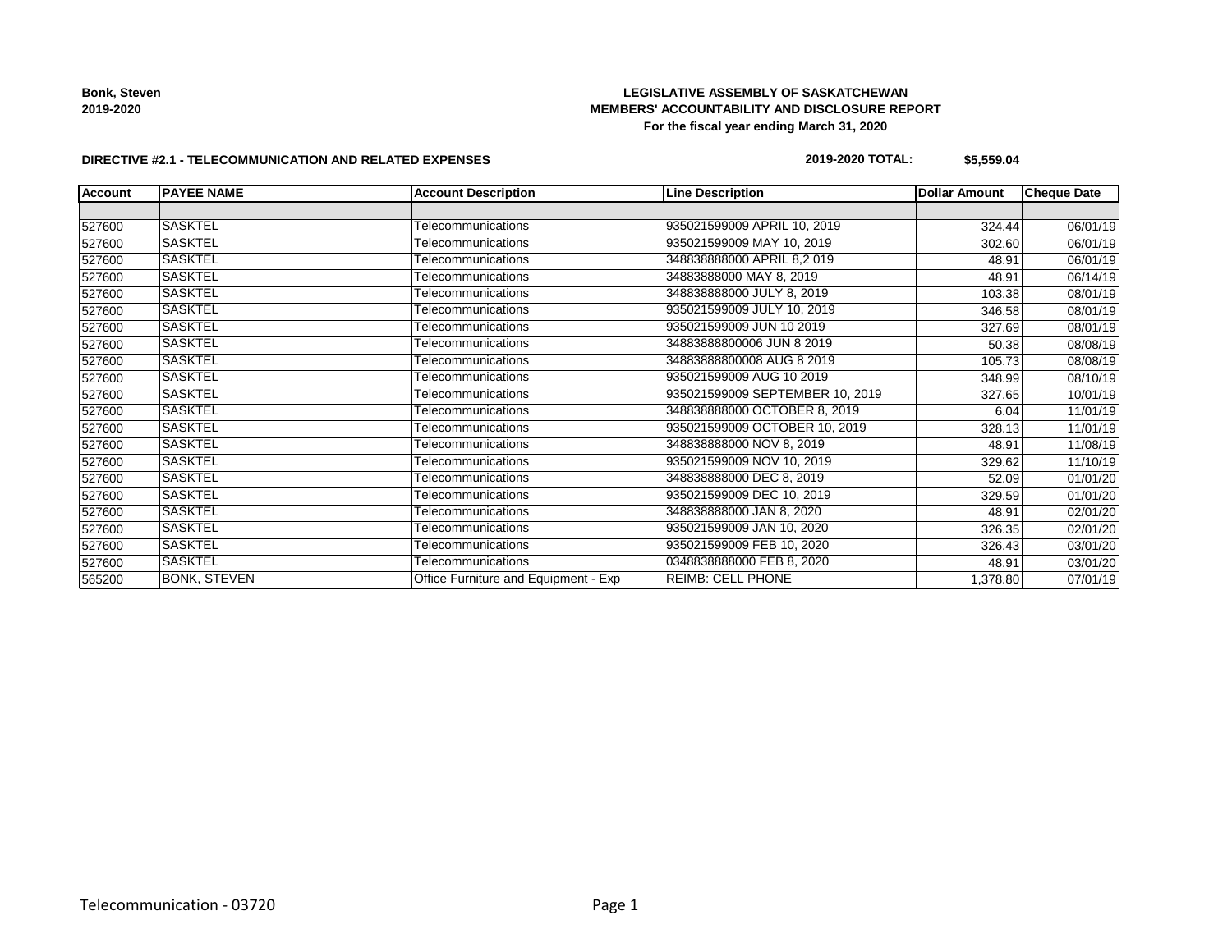**Bonk, Steven 2019-2020**

# **LEGISLATIVE ASSEMBLY OF SASKATCHEWAN MEMBERS' ACCOUNTABILITY AND DISCLOSURE REPORT For the fiscal year ending March 31, 2020**

#### **DIRECTIVE #2.1 - TELECOMMUNICATION AND RELATED EXPENSES**

# **2019-2020 TOTAL: \$5,559.04**

| <b>Account</b> | <b>PAYEE NAME</b>   | <b>Account Description</b>           | <b>Line Description</b>         | <b>Dollar Amount</b> | <b>Cheque Date</b> |
|----------------|---------------------|--------------------------------------|---------------------------------|----------------------|--------------------|
|                |                     |                                      |                                 |                      |                    |
| 527600         | <b>SASKTEL</b>      | Telecommunications                   | 935021599009 APRIL 10, 2019     | 324.44               | 06/01/19           |
| 527600         | <b>SASKTEL</b>      | Telecommunications                   | 935021599009 MAY 10, 2019       | 302.60               | 06/01/19           |
| 527600         | <b>SASKTEL</b>      | Telecommunications                   | 348838888000 APRIL 8,2019       | 48.91                | 06/01/19           |
| 527600         | <b>SASKTEL</b>      | Telecommunications                   | 34883888000 MAY 8, 2019         | 48.91                | 06/14/19           |
| 527600         | <b>SASKTEL</b>      | Telecommunications                   | 348838888000 JULY 8, 2019       | 103.38               | 08/01/19           |
| 527600         | <b>SASKTEL</b>      | Telecommunications                   | 935021599009 JULY 10, 2019      | 346.58               | 08/01/19           |
| 527600         | <b>SASKTEL</b>      | Telecommunications                   | 935021599009 JUN 10 2019        | 327.69               | 08/01/19           |
| 527600         | <b>SASKTEL</b>      | Telecommunications                   | 34883888800006 JUN 8 2019       | 50.38                | 08/08/19           |
| 527600         | <b>SASKTEL</b>      | Telecommunications                   | 34883888800008 AUG 8 2019       | 105.73               | 08/08/19           |
| 527600         | <b>SASKTEL</b>      | Telecommunications                   | 935021599009 AUG 10 2019        | 348.99               | 08/10/19           |
| 527600         | <b>SASKTEL</b>      | Telecommunications                   | 935021599009 SEPTEMBER 10, 2019 | 327.65               | 10/01/19           |
| 527600         | <b>SASKTEL</b>      | Telecommunications                   | 348838888000 OCTOBER 8, 2019    | 6.04                 | 11/01/19           |
| 527600         | <b>SASKTEL</b>      | Telecommunications                   | 935021599009 OCTOBER 10, 2019   | 328.13               | 11/01/19           |
| 527600         | <b>SASKTEL</b>      | Telecommunications                   | 348838888000 NOV 8, 2019        | 48.91                | 11/08/19           |
| 527600         | <b>SASKTEL</b>      | Telecommunications                   | 935021599009 NOV 10, 2019       | 329.62               | 11/10/19           |
| 527600         | <b>SASKTEL</b>      | Telecommunications                   | 348838888000 DEC 8, 2019        | 52.09                | 01/01/20           |
| 527600         | <b>SASKTEL</b>      | Telecommunications                   | 935021599009 DEC 10, 2019       | 329.59               | 01/01/20           |
| 527600         | <b>SASKTEL</b>      | Telecommunications                   | 348838888000 JAN 8, 2020        | 48.91                | 02/01/20           |
| 527600         | <b>SASKTEL</b>      | Telecommunications                   | 935021599009 JAN 10, 2020       | 326.35               | 02/01/20           |
| 527600         | <b>SASKTEL</b>      | Telecommunications                   | 935021599009 FEB 10, 2020       | 326.43               | 03/01/20           |
| 527600         | <b>SASKTEL</b>      | Telecommunications                   | 0348838888000 FEB 8, 2020       | 48.91                | 03/01/20           |
| 565200         | <b>BONK, STEVEN</b> | Office Furniture and Equipment - Exp | <b>REIMB: CELL PHONE</b>        | 1,378.80             | 07/01/19           |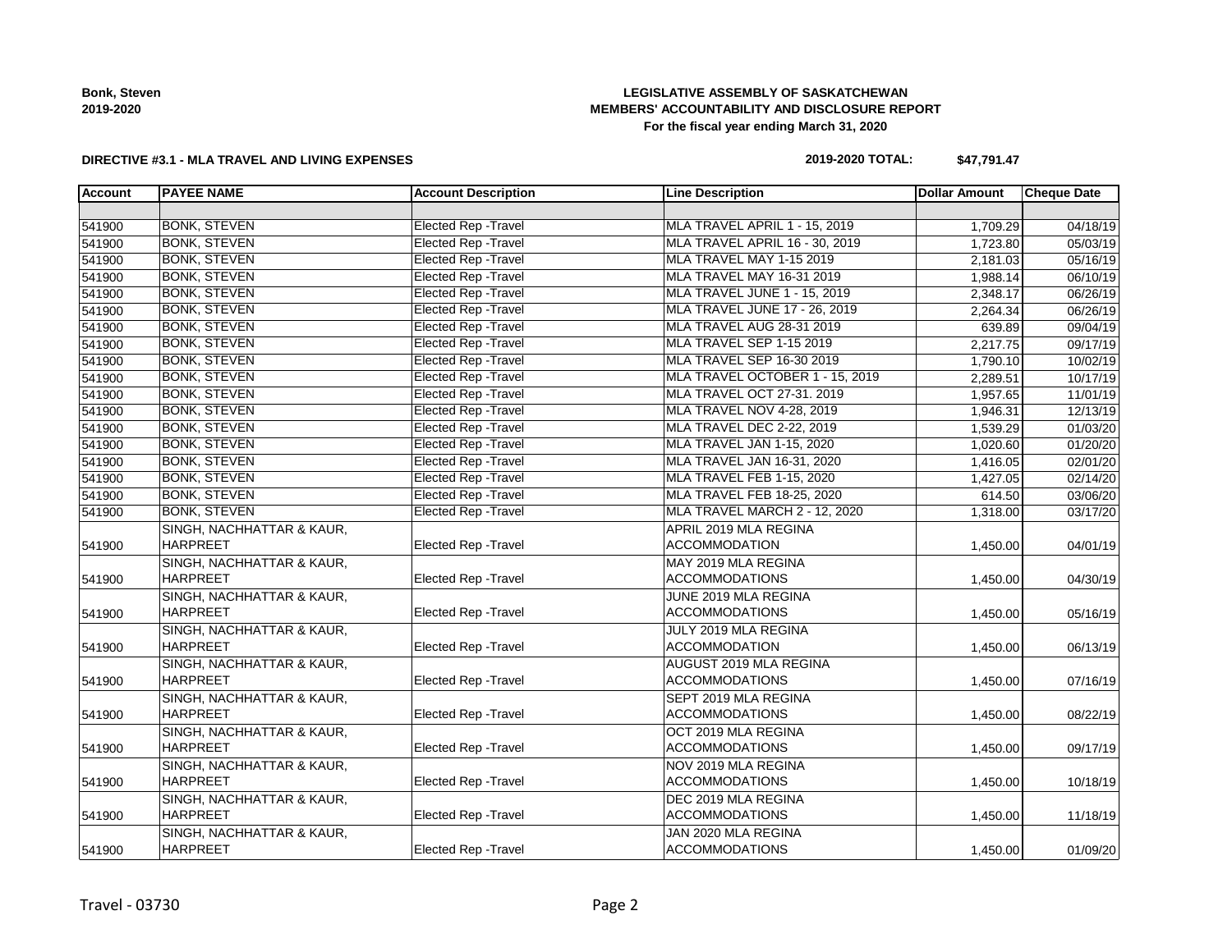**Bonk, Steven 2019-2020**

# **LEGISLATIVE ASSEMBLY OF SASKATCHEWAN MEMBERS' ACCOUNTABILITY AND DISCLOSURE REPORT For the fiscal year ending March 31, 2020**

#### **DIRECTIVE #3.1 - MLA TRAVEL AND LIVING EXPENSES**

# **2019-2020 TOTAL: \$47,791.47**

| <b>Account</b> | <b>PAYEE NAME</b>                    | <b>Account Description</b>  | <b>Line Description</b>          | <b>Dollar Amount</b> | <b>Cheque Date</b> |
|----------------|--------------------------------------|-----------------------------|----------------------------------|----------------------|--------------------|
|                |                                      |                             |                                  |                      |                    |
| 541900         | <b>BONK, STEVEN</b>                  | <b>Elected Rep - Travel</b> | MLA TRAVEL APRIL 1 - 15, 2019    | 1,709.29             | 04/18/19           |
| 541900         | <b>BONK, STEVEN</b>                  | <b>Elected Rep - Travel</b> | MLA TRAVEL APRIL 16 - 30, 2019   | 1,723.80             | 05/03/19           |
| 541900         | <b>BONK, STEVEN</b>                  | <b>Elected Rep - Travel</b> | MLA TRAVEL MAY 1-15 2019         | 2,181.03             | 05/16/19           |
| 541900         | <b>BONK, STEVEN</b>                  | <b>Elected Rep - Travel</b> | MLA TRAVEL MAY 16-31 2019        | 1,988.14             | 06/10/19           |
| 541900         | <b>BONK, STEVEN</b>                  | <b>Elected Rep - Travel</b> | MLA TRAVEL JUNE 1 - 15, 2019     | 2,348.17             | 06/26/19           |
| 541900         | <b>BONK, STEVEN</b>                  | <b>Elected Rep - Travel</b> | MLA TRAVEL JUNE 17 - 26, 2019    | 2,264.34             | 06/26/19           |
| 541900         | <b>BONK, STEVEN</b>                  | <b>Elected Rep - Travel</b> | MLA TRAVEL AUG 28-31 2019        | 639.89               | 09/04/19           |
| 541900         | <b>BONK, STEVEN</b>                  | <b>Elected Rep - Travel</b> | MLA TRAVEL SEP 1-15 2019         | 2,217.75             | 09/17/19           |
| 541900         | <b>BONK, STEVEN</b>                  | <b>Elected Rep - Travel</b> | MLA TRAVEL SEP 16-30 2019        | 1,790.10             | 10/02/19           |
| 541900         | <b>BONK, STEVEN</b>                  | <b>Elected Rep - Travel</b> | MLA TRAVEL OCTOBER 1 - 15, 2019  | 2,289.51             | 10/17/19           |
| 541900         | <b>BONK, STEVEN</b>                  | <b>Elected Rep - Travel</b> | MLA TRAVEL OCT 27-31. 2019       | 1,957.65             | 11/01/19           |
| 541900         | <b>BONK, STEVEN</b>                  | <b>Elected Rep - Travel</b> | MLA TRAVEL NOV 4-28, 2019        | 1,946.31             | 12/13/19           |
| 541900         | <b>BONK, STEVEN</b>                  | <b>Elected Rep - Travel</b> | <b>MLA TRAVEL DEC 2-22, 2019</b> | 1,539.29             | 01/03/20           |
| 541900         | <b>BONK, STEVEN</b>                  | <b>Elected Rep - Travel</b> | MLA TRAVEL JAN 1-15, 2020        | 1,020.60             | 01/20/20           |
| 541900         | <b>BONK, STEVEN</b>                  | <b>Elected Rep - Travel</b> | MLA TRAVEL JAN 16-31, 2020       | 1,416.05             | 02/01/20           |
| 541900         | <b>BONK, STEVEN</b>                  | <b>Elected Rep - Travel</b> | MLA TRAVEL FEB 1-15, 2020        | 1,427.05             | 02/14/20           |
| 541900         | <b>BONK, STEVEN</b>                  | <b>Elected Rep - Travel</b> | MLA TRAVEL FEB 18-25, 2020       | 614.50               | 03/06/20           |
| 541900         | <b>BONK, STEVEN</b>                  | <b>Elected Rep - Travel</b> | MLA TRAVEL MARCH 2 - 12, 2020    | 1,318.00             | 03/17/20           |
|                | <b>SINGH, NACHHATTAR &amp; KAUR,</b> |                             | APRIL 2019 MLA REGINA            |                      |                    |
| 541900         | <b>HARPREET</b>                      | Elected Rep - Travel        | <b>ACCOMMODATION</b>             | 1,450.00             | 04/01/19           |
|                | SINGH, NACHHATTAR & KAUR,            |                             | MAY 2019 MLA REGINA              |                      |                    |
| 541900         | <b>HARPREET</b>                      | <b>Elected Rep - Travel</b> | <b>ACCOMMODATIONS</b>            | 1,450.00             | 04/30/19           |
|                | SINGH, NACHHATTAR & KAUR,            |                             | JUNE 2019 MLA REGINA             |                      |                    |
| 541900         | <b>HARPREET</b>                      | Elected Rep - Travel        | <b>ACCOMMODATIONS</b>            | 1,450.00             | 05/16/19           |
|                | SINGH, NACHHATTAR & KAUR,            |                             | JULY 2019 MLA REGINA             |                      |                    |
| 541900         | <b>HARPREET</b>                      | <b>Elected Rep - Travel</b> | <b>ACCOMMODATION</b>             | 1,450.00             | 06/13/19           |
|                | SINGH, NACHHATTAR & KAUR,            |                             | AUGUST 2019 MLA REGINA           |                      |                    |
| 541900         | <b>HARPREET</b>                      | Elected Rep - Travel        | <b>ACCOMMODATIONS</b>            | 1,450.00             | 07/16/19           |
|                | SINGH, NACHHATTAR & KAUR,            |                             | SEPT 2019 MLA REGINA             |                      |                    |
| 541900         | HARPREET                             | <b>Elected Rep - Travel</b> | <b>ACCOMMODATIONS</b>            | 1,450.00             | 08/22/19           |
|                | SINGH, NACHHATTAR & KAUR,            |                             | OCT 2019 MLA REGINA              |                      |                    |
| 541900         | HARPREET                             | Elected Rep - Travel        | <b>ACCOMMODATIONS</b>            | 1,450.00             | 09/17/19           |
|                | SINGH, NACHHATTAR & KAUR,            |                             | NOV 2019 MLA REGINA              |                      |                    |
| 541900         | HARPREET                             | Elected Rep - Travel        | ACCOMMODATIONS                   | 1,450.00             | 10/18/19           |
|                | SINGH, NACHHATTAR & KAUR,            |                             | DEC 2019 MLA REGINA              |                      |                    |
| 541900         | <b>HARPREET</b>                      | Elected Rep - Travel        | <b>ACCOMMODATIONS</b>            | 1,450.00             | 11/18/19           |
|                | SINGH, NACHHATTAR & KAUR,            |                             | JAN 2020 MLA REGINA              |                      |                    |
| 541900         | <b>HARPREET</b>                      | Elected Rep - Travel        | <b>ACCOMMODATIONS</b>            | 1,450.00             | 01/09/20           |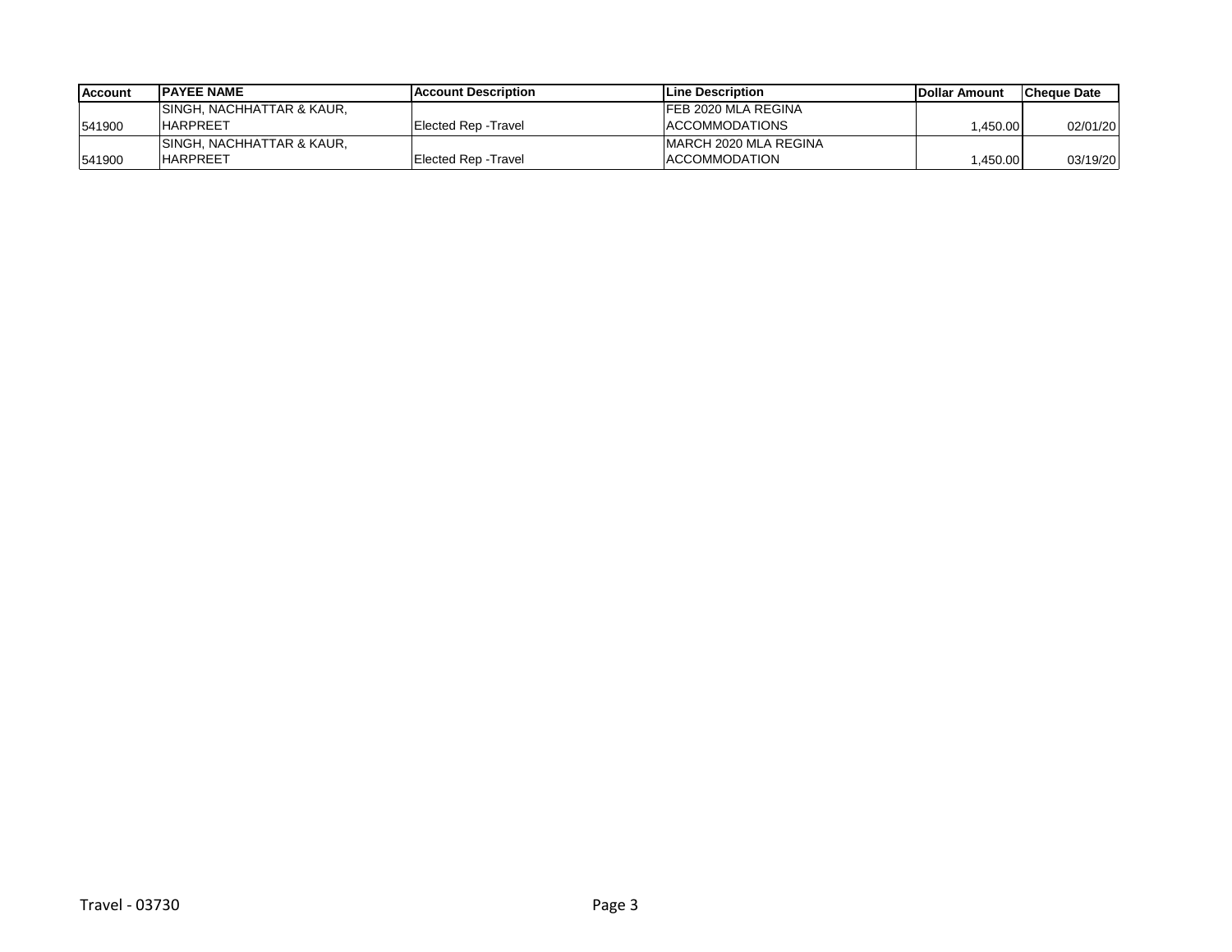| <b>Account</b> | <b>IPAYEE NAME</b>         | <b>IAccount Description</b> | <b>ILine Description</b> | <b>IDollar Amount</b> | lCheque Date |
|----------------|----------------------------|-----------------------------|--------------------------|-----------------------|--------------|
|                | SINGH, NACHHATTAR & KAUR.  |                             | IFEB 2020 MLA REGINA     |                       |              |
| 541900         | <b>HARPREET</b>            | Elected Rep - Travel        | <b>IACCOMMODATIONS</b>   | .450.00               | 02/01/20     |
|                | ISINGH. NACHHATTAR & KAUR. |                             | IMARCH 2020 MLA REGINA   |                       |              |
| 541900         | <b>HARPREET</b>            | Elected Rep -Travel         | <b>ACCOMMODATION</b>     | ,450.00               | 03/19/20     |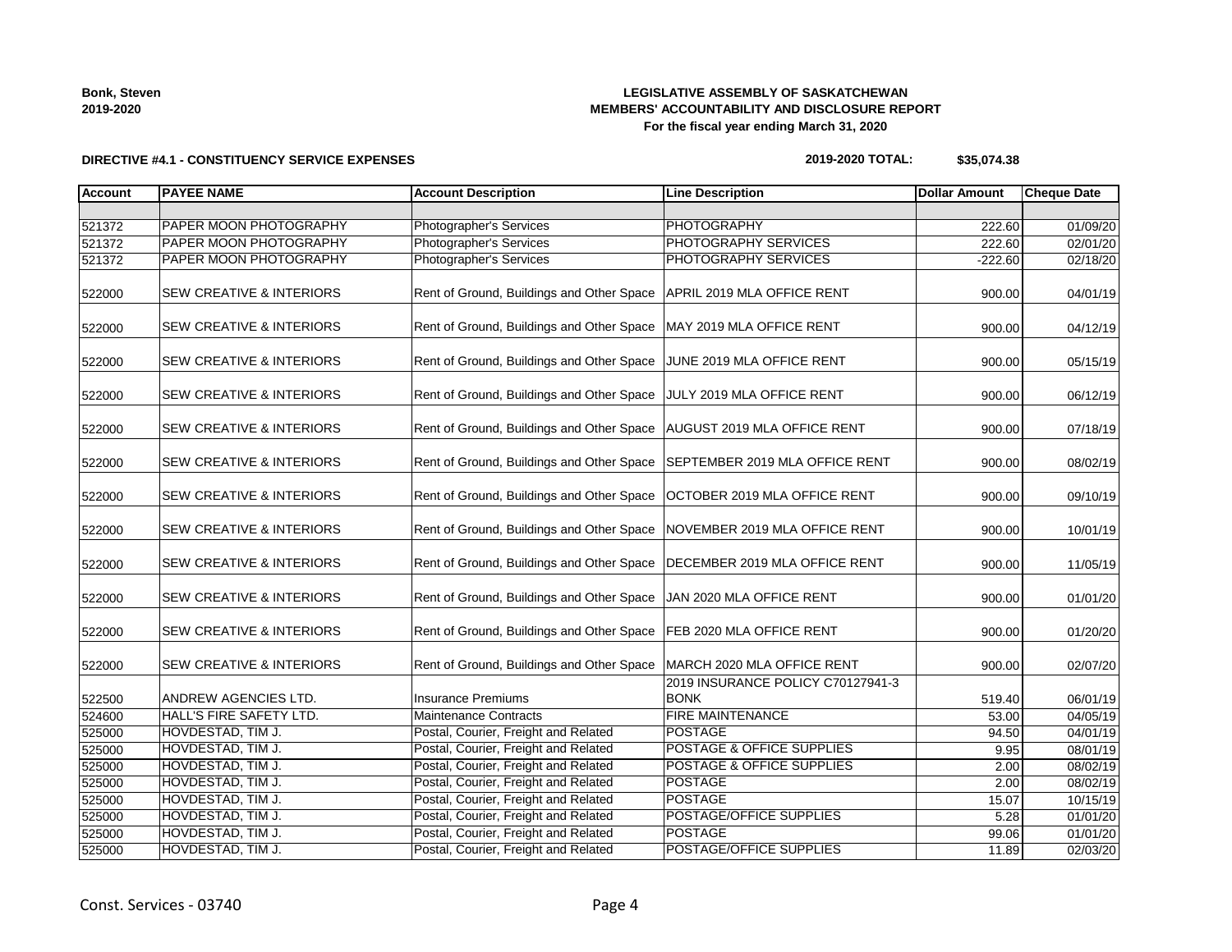| <b>Bonk, Steven</b> |
|---------------------|
| 2019-2020           |

# **LEGISLATIVE ASSEMBLY OF SASKATCHEWAN MEMBERS' ACCOUNTABILITY AND DISCLOSURE REPORT For the fiscal year ending March 31, 2020**

#### **DIRECTIVE #4.1 - CONSTITUENCY SERVICE EXPENSES**

# **2019-2020 TOTAL: \$35,074.38**

| <b>Account</b> | <b>PAYEE NAME</b>                   | <b>Account Description</b>                                           | <b>Line Description</b>                          | <b>Dollar Amount</b> | <b>Cheque Date</b> |
|----------------|-------------------------------------|----------------------------------------------------------------------|--------------------------------------------------|----------------------|--------------------|
|                |                                     |                                                                      |                                                  |                      |                    |
| 521372         | PAPER MOON PHOTOGRAPHY              | Photographer's Services                                              | <b>PHOTOGRAPHY</b>                               | 222.60               | 01/09/20           |
| 521372         | PAPER MOON PHOTOGRAPHY              | Photographer's Services                                              | PHOTOGRAPHY SERVICES                             | 222.60               | 02/01/20           |
| 521372         | PAPER MOON PHOTOGRAPHY              | Photographer's Services                                              | PHOTOGRAPHY SERVICES                             | $-222.60$            | 02/18/20           |
| 522000         | <b>SEW CREATIVE &amp; INTERIORS</b> | Rent of Ground, Buildings and Other Space APRIL 2019 MLA OFFICE RENT |                                                  | 900.00               | 04/01/19           |
| 522000         | SEW CREATIVE & INTERIORS            | Rent of Ground, Buildings and Other Space   MAY 2019 MLA OFFICE RENT |                                                  | 900.00               | 04/12/19           |
| 522000         | <b>SEW CREATIVE &amp; INTERIORS</b> | Rent of Ground, Buildings and Other Space                            | JUNE 2019 MLA OFFICE RENT                        | 900.00               | 05/15/19           |
| 522000         | <b>SEW CREATIVE &amp; INTERIORS</b> | Rent of Ground, Buildings and Other Space                            | JULY 2019 MLA OFFICE RENT                        | 900.00               | 06/12/19           |
| 522000         | SEW CREATIVE & INTERIORS            | Rent of Ground, Buildings and Other Space                            | AUGUST 2019 MLA OFFICE RENT                      | 900.00               | 07/18/19           |
| 522000         | <b>SEW CREATIVE &amp; INTERIORS</b> | Rent of Ground, Buildings and Other Space                            | SEPTEMBER 2019 MLA OFFICE RENT                   | 900.00               | 08/02/19           |
| 522000         | SEW CREATIVE & INTERIORS            | Rent of Ground, Buildings and Other Space                            | OCTOBER 2019 MLA OFFICE RENT                     | 900.00               | 09/10/19           |
| 522000         | <b>SEW CREATIVE &amp; INTERIORS</b> | Rent of Ground, Buildings and Other Space                            | NOVEMBER 2019 MLA OFFICE RENT                    | 900.00               | 10/01/19           |
| 522000         | SEW CREATIVE & INTERIORS            | Rent of Ground, Buildings and Other Space                            | DECEMBER 2019 MLA OFFICE RENT                    | 900.00               | 11/05/19           |
| 522000         | <b>SEW CREATIVE &amp; INTERIORS</b> | Rent of Ground, Buildings and Other Space                            | JAN 2020 MLA OFFICE RENT                         | 900.00               | 01/01/20           |
| 522000         | <b>SEW CREATIVE &amp; INTERIORS</b> | Rent of Ground, Buildings and Other Space                            | <b>FEB 2020 MLA OFFICE RENT</b>                  | 900.00               | 01/20/20           |
| 522000         | SEW CREATIVE & INTERIORS            | Rent of Ground, Buildings and Other Space                            | MARCH 2020 MLA OFFICE RENT                       | 900.00               | 02/07/20           |
| 522500         | ANDREW AGENCIES LTD.                | <b>Insurance Premiums</b>                                            | 2019 INSURANCE POLICY C70127941-3<br><b>BONK</b> | 519.40               | 06/01/19           |
| 524600         | HALL'S FIRE SAFETY LTD.             | <b>Maintenance Contracts</b>                                         | <b>FIRE MAINTENANCE</b>                          | 53.00                | 04/05/19           |
| 525000         | HOVDESTAD, TIM J.                   | Postal, Courier, Freight and Related                                 | <b>POSTAGE</b>                                   | 94.50                | 04/01/19           |
| 525000         | HOVDESTAD, TIM J.                   | Postal, Courier, Freight and Related                                 | <b>POSTAGE &amp; OFFICE SUPPLIES</b>             | 9.95                 | 08/01/19           |
| 525000         | HOVDESTAD, TIM J.                   | Postal, Courier, Freight and Related                                 | POSTAGE & OFFICE SUPPLIES                        | 2.00                 | 08/02/19           |
| 525000         | HOVDESTAD, TIM J.                   | Postal, Courier, Freight and Related                                 | <b>POSTAGE</b>                                   | 2.00                 | 08/02/19           |
| 525000         | HOVDESTAD, TIM J.                   | Postal, Courier, Freight and Related                                 | <b>POSTAGE</b>                                   | 15.07                | 10/15/19           |
| 525000         | HOVDESTAD, TIM J.                   | Postal, Courier, Freight and Related                                 | POSTAGE/OFFICE SUPPLIES                          | 5.28                 | 01/01/20           |
| 525000         | HOVDESTAD, TIM J.                   | Postal, Courier, Freight and Related                                 | <b>POSTAGE</b>                                   | 99.06                | 01/01/20           |
| 525000         | HOVDESTAD, TIM J.                   | Postal, Courier, Freight and Related                                 | POSTAGE/OFFICE SUPPLIES                          | 11.89                | 02/03/20           |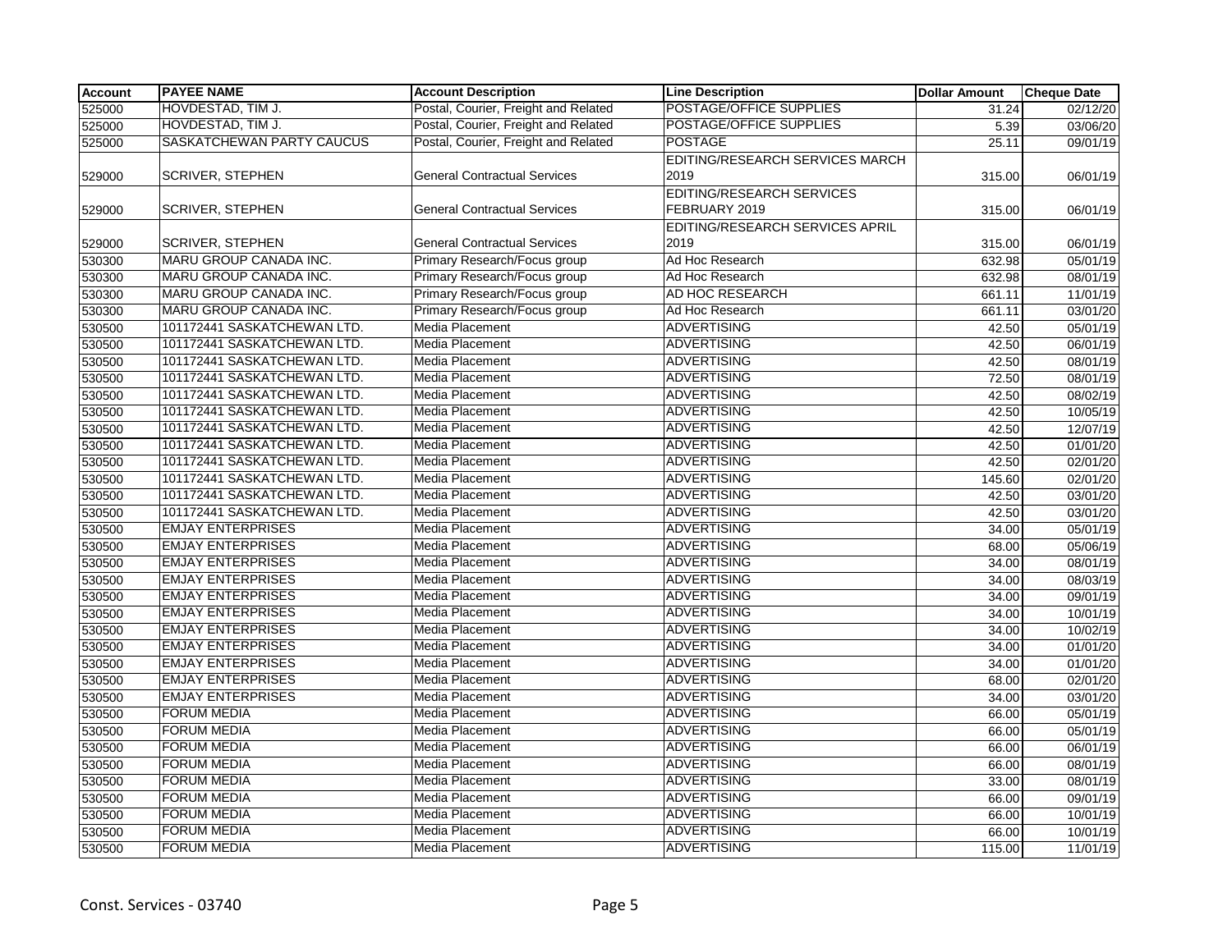| HOVDESTAD, TIM J.<br>POSTAGE/OFFICE SUPPLIES<br>525000<br>Postal, Courier, Freight and Related<br>31.24<br>02/12/20<br>Postal, Courier, Freight and Related<br>POSTAGE/OFFICE SUPPLIES<br>HOVDESTAD, TIM J.<br>525000<br>5.39<br>03/06/20<br>SASKATCHEWAN PARTY CAUCUS<br>Postal, Courier, Freight and Related<br><b>POSTAGE</b><br>525000<br>25.11<br>09/01/19<br>EDITING/RESEARCH SERVICES MARCH<br>2019<br><b>SCRIVER, STEPHEN</b><br><b>General Contractual Services</b><br>529000<br>315.00<br>06/01/19<br><b>EDITING/RESEARCH SERVICES</b><br><b>General Contractual Services</b><br>FEBRUARY 2019<br><b>SCRIVER, STEPHEN</b><br>529000<br>315.00<br>06/01/19<br>EDITING/RESEARCH SERVICES APRIL<br>2019<br><b>SCRIVER, STEPHEN</b><br><b>General Contractual Services</b><br>529000<br>315.00<br>06/01/19<br>MARU GROUP CANADA INC.<br>Ad Hoc Research<br>530300<br>Primary Research/Focus group<br>632.98<br>05/01/19<br>MARU GROUP CANADA INC.<br>Primary Research/Focus group<br>Ad Hoc Research<br>530300<br>632.98<br>08/01/19<br>Primary Research/Focus group<br>AD HOC RESEARCH<br>MARU GROUP CANADA INC.<br>530300<br>661.11<br>11/01/19<br><b>MARU GROUP CANADA INC.</b><br>Primary Research/Focus group<br>Ad Hoc Research<br>530300<br>661.11<br>03/01/20<br><b>ADVERTISING</b><br>101172441 SASKATCHEWAN LTD.<br>Media Placement<br>530500<br>05/01/19<br>42.50<br>101172441 SASKATCHEWAN LTD.<br>Media Placement<br><b>ADVERTISING</b><br>530500<br>06/01/19<br>42.50<br>101172441 SASKATCHEWAN LTD.<br>Media Placement<br><b>ADVERTISING</b><br>530500<br>42.50<br>08/01/19<br>101172441 SASKATCHEWAN LTD.<br>Media Placement<br><b>ADVERTISING</b><br>530500<br>72.50<br>08/01/19<br><b>ADVERTISING</b><br>101172441 SASKATCHEWAN LTD.<br><b>Media Placement</b><br>530500<br>42.50<br>08/02/19<br>101172441 SASKATCHEWAN LTD.<br>Media Placement<br><b>ADVERTISING</b><br>530500<br>42.50<br>10/05/19<br>101172441 SASKATCHEWAN LTD.<br>Media Placement<br><b>ADVERTISING</b><br>530500<br>42.50<br>12/07/19<br>101172441 SASKATCHEWAN LTD.<br><b>Media Placement</b><br>530500<br><b>ADVERTISING</b><br>42.50<br>01/01/20<br>101172441 SASKATCHEWAN LTD.<br><b>Media Placement</b><br><b>ADVERTISING</b><br>530500<br>02/01/20<br>42.50 |
|-----------------------------------------------------------------------------------------------------------------------------------------------------------------------------------------------------------------------------------------------------------------------------------------------------------------------------------------------------------------------------------------------------------------------------------------------------------------------------------------------------------------------------------------------------------------------------------------------------------------------------------------------------------------------------------------------------------------------------------------------------------------------------------------------------------------------------------------------------------------------------------------------------------------------------------------------------------------------------------------------------------------------------------------------------------------------------------------------------------------------------------------------------------------------------------------------------------------------------------------------------------------------------------------------------------------------------------------------------------------------------------------------------------------------------------------------------------------------------------------------------------------------------------------------------------------------------------------------------------------------------------------------------------------------------------------------------------------------------------------------------------------------------------------------------------------------------------------------------------------------------------------------------------------------------------------------------------------------------------------------------------------------------------------------------------------------------------------------------------------------------------------------------------------------------------------------------------------------------------------------------------------|
|                                                                                                                                                                                                                                                                                                                                                                                                                                                                                                                                                                                                                                                                                                                                                                                                                                                                                                                                                                                                                                                                                                                                                                                                                                                                                                                                                                                                                                                                                                                                                                                                                                                                                                                                                                                                                                                                                                                                                                                                                                                                                                                                                                                                                                                                 |
|                                                                                                                                                                                                                                                                                                                                                                                                                                                                                                                                                                                                                                                                                                                                                                                                                                                                                                                                                                                                                                                                                                                                                                                                                                                                                                                                                                                                                                                                                                                                                                                                                                                                                                                                                                                                                                                                                                                                                                                                                                                                                                                                                                                                                                                                 |
|                                                                                                                                                                                                                                                                                                                                                                                                                                                                                                                                                                                                                                                                                                                                                                                                                                                                                                                                                                                                                                                                                                                                                                                                                                                                                                                                                                                                                                                                                                                                                                                                                                                                                                                                                                                                                                                                                                                                                                                                                                                                                                                                                                                                                                                                 |
|                                                                                                                                                                                                                                                                                                                                                                                                                                                                                                                                                                                                                                                                                                                                                                                                                                                                                                                                                                                                                                                                                                                                                                                                                                                                                                                                                                                                                                                                                                                                                                                                                                                                                                                                                                                                                                                                                                                                                                                                                                                                                                                                                                                                                                                                 |
|                                                                                                                                                                                                                                                                                                                                                                                                                                                                                                                                                                                                                                                                                                                                                                                                                                                                                                                                                                                                                                                                                                                                                                                                                                                                                                                                                                                                                                                                                                                                                                                                                                                                                                                                                                                                                                                                                                                                                                                                                                                                                                                                                                                                                                                                 |
|                                                                                                                                                                                                                                                                                                                                                                                                                                                                                                                                                                                                                                                                                                                                                                                                                                                                                                                                                                                                                                                                                                                                                                                                                                                                                                                                                                                                                                                                                                                                                                                                                                                                                                                                                                                                                                                                                                                                                                                                                                                                                                                                                                                                                                                                 |
|                                                                                                                                                                                                                                                                                                                                                                                                                                                                                                                                                                                                                                                                                                                                                                                                                                                                                                                                                                                                                                                                                                                                                                                                                                                                                                                                                                                                                                                                                                                                                                                                                                                                                                                                                                                                                                                                                                                                                                                                                                                                                                                                                                                                                                                                 |
|                                                                                                                                                                                                                                                                                                                                                                                                                                                                                                                                                                                                                                                                                                                                                                                                                                                                                                                                                                                                                                                                                                                                                                                                                                                                                                                                                                                                                                                                                                                                                                                                                                                                                                                                                                                                                                                                                                                                                                                                                                                                                                                                                                                                                                                                 |
|                                                                                                                                                                                                                                                                                                                                                                                                                                                                                                                                                                                                                                                                                                                                                                                                                                                                                                                                                                                                                                                                                                                                                                                                                                                                                                                                                                                                                                                                                                                                                                                                                                                                                                                                                                                                                                                                                                                                                                                                                                                                                                                                                                                                                                                                 |
|                                                                                                                                                                                                                                                                                                                                                                                                                                                                                                                                                                                                                                                                                                                                                                                                                                                                                                                                                                                                                                                                                                                                                                                                                                                                                                                                                                                                                                                                                                                                                                                                                                                                                                                                                                                                                                                                                                                                                                                                                                                                                                                                                                                                                                                                 |
|                                                                                                                                                                                                                                                                                                                                                                                                                                                                                                                                                                                                                                                                                                                                                                                                                                                                                                                                                                                                                                                                                                                                                                                                                                                                                                                                                                                                                                                                                                                                                                                                                                                                                                                                                                                                                                                                                                                                                                                                                                                                                                                                                                                                                                                                 |
|                                                                                                                                                                                                                                                                                                                                                                                                                                                                                                                                                                                                                                                                                                                                                                                                                                                                                                                                                                                                                                                                                                                                                                                                                                                                                                                                                                                                                                                                                                                                                                                                                                                                                                                                                                                                                                                                                                                                                                                                                                                                                                                                                                                                                                                                 |
|                                                                                                                                                                                                                                                                                                                                                                                                                                                                                                                                                                                                                                                                                                                                                                                                                                                                                                                                                                                                                                                                                                                                                                                                                                                                                                                                                                                                                                                                                                                                                                                                                                                                                                                                                                                                                                                                                                                                                                                                                                                                                                                                                                                                                                                                 |
|                                                                                                                                                                                                                                                                                                                                                                                                                                                                                                                                                                                                                                                                                                                                                                                                                                                                                                                                                                                                                                                                                                                                                                                                                                                                                                                                                                                                                                                                                                                                                                                                                                                                                                                                                                                                                                                                                                                                                                                                                                                                                                                                                                                                                                                                 |
|                                                                                                                                                                                                                                                                                                                                                                                                                                                                                                                                                                                                                                                                                                                                                                                                                                                                                                                                                                                                                                                                                                                                                                                                                                                                                                                                                                                                                                                                                                                                                                                                                                                                                                                                                                                                                                                                                                                                                                                                                                                                                                                                                                                                                                                                 |
|                                                                                                                                                                                                                                                                                                                                                                                                                                                                                                                                                                                                                                                                                                                                                                                                                                                                                                                                                                                                                                                                                                                                                                                                                                                                                                                                                                                                                                                                                                                                                                                                                                                                                                                                                                                                                                                                                                                                                                                                                                                                                                                                                                                                                                                                 |
|                                                                                                                                                                                                                                                                                                                                                                                                                                                                                                                                                                                                                                                                                                                                                                                                                                                                                                                                                                                                                                                                                                                                                                                                                                                                                                                                                                                                                                                                                                                                                                                                                                                                                                                                                                                                                                                                                                                                                                                                                                                                                                                                                                                                                                                                 |
|                                                                                                                                                                                                                                                                                                                                                                                                                                                                                                                                                                                                                                                                                                                                                                                                                                                                                                                                                                                                                                                                                                                                                                                                                                                                                                                                                                                                                                                                                                                                                                                                                                                                                                                                                                                                                                                                                                                                                                                                                                                                                                                                                                                                                                                                 |
|                                                                                                                                                                                                                                                                                                                                                                                                                                                                                                                                                                                                                                                                                                                                                                                                                                                                                                                                                                                                                                                                                                                                                                                                                                                                                                                                                                                                                                                                                                                                                                                                                                                                                                                                                                                                                                                                                                                                                                                                                                                                                                                                                                                                                                                                 |
|                                                                                                                                                                                                                                                                                                                                                                                                                                                                                                                                                                                                                                                                                                                                                                                                                                                                                                                                                                                                                                                                                                                                                                                                                                                                                                                                                                                                                                                                                                                                                                                                                                                                                                                                                                                                                                                                                                                                                                                                                                                                                                                                                                                                                                                                 |
|                                                                                                                                                                                                                                                                                                                                                                                                                                                                                                                                                                                                                                                                                                                                                                                                                                                                                                                                                                                                                                                                                                                                                                                                                                                                                                                                                                                                                                                                                                                                                                                                                                                                                                                                                                                                                                                                                                                                                                                                                                                                                                                                                                                                                                                                 |
|                                                                                                                                                                                                                                                                                                                                                                                                                                                                                                                                                                                                                                                                                                                                                                                                                                                                                                                                                                                                                                                                                                                                                                                                                                                                                                                                                                                                                                                                                                                                                                                                                                                                                                                                                                                                                                                                                                                                                                                                                                                                                                                                                                                                                                                                 |
| 101172441 SASKATCHEWAN LTD.<br><b>Media Placement</b><br><b>ADVERTISING</b><br>530500<br>02/01/20<br>145.60                                                                                                                                                                                                                                                                                                                                                                                                                                                                                                                                                                                                                                                                                                                                                                                                                                                                                                                                                                                                                                                                                                                                                                                                                                                                                                                                                                                                                                                                                                                                                                                                                                                                                                                                                                                                                                                                                                                                                                                                                                                                                                                                                     |
| 101172441 SASKATCHEWAN LTD.<br>Media Placement<br><b>ADVERTISING</b><br>530500<br>42.50<br>03/01/20                                                                                                                                                                                                                                                                                                                                                                                                                                                                                                                                                                                                                                                                                                                                                                                                                                                                                                                                                                                                                                                                                                                                                                                                                                                                                                                                                                                                                                                                                                                                                                                                                                                                                                                                                                                                                                                                                                                                                                                                                                                                                                                                                             |
| 101172441 SASKATCHEWAN LTD.<br>Media Placement<br><b>ADVERTISING</b><br>530500<br>42.50<br>03/01/20                                                                                                                                                                                                                                                                                                                                                                                                                                                                                                                                                                                                                                                                                                                                                                                                                                                                                                                                                                                                                                                                                                                                                                                                                                                                                                                                                                                                                                                                                                                                                                                                                                                                                                                                                                                                                                                                                                                                                                                                                                                                                                                                                             |
| <b>EMJAY ENTERPRISES</b><br><b>Media Placement</b><br><b>ADVERTISING</b><br>530500<br>34.00<br>05/01/19                                                                                                                                                                                                                                                                                                                                                                                                                                                                                                                                                                                                                                                                                                                                                                                                                                                                                                                                                                                                                                                                                                                                                                                                                                                                                                                                                                                                                                                                                                                                                                                                                                                                                                                                                                                                                                                                                                                                                                                                                                                                                                                                                         |
| <b>EMJAY ENTERPRISES</b><br><b>Media Placement</b><br><b>ADVERTISING</b><br>530500<br>68.00<br>05/06/19                                                                                                                                                                                                                                                                                                                                                                                                                                                                                                                                                                                                                                                                                                                                                                                                                                                                                                                                                                                                                                                                                                                                                                                                                                                                                                                                                                                                                                                                                                                                                                                                                                                                                                                                                                                                                                                                                                                                                                                                                                                                                                                                                         |
| <b>EMJAY ENTERPRISES</b><br><b>Media Placement</b><br><b>ADVERTISING</b><br>530500<br>34.00<br>08/01/19                                                                                                                                                                                                                                                                                                                                                                                                                                                                                                                                                                                                                                                                                                                                                                                                                                                                                                                                                                                                                                                                                                                                                                                                                                                                                                                                                                                                                                                                                                                                                                                                                                                                                                                                                                                                                                                                                                                                                                                                                                                                                                                                                         |
| <b>EMJAY ENTERPRISES</b><br>Media Placement<br><b>ADVERTISING</b><br>08/03/19<br>530500<br>34.00                                                                                                                                                                                                                                                                                                                                                                                                                                                                                                                                                                                                                                                                                                                                                                                                                                                                                                                                                                                                                                                                                                                                                                                                                                                                                                                                                                                                                                                                                                                                                                                                                                                                                                                                                                                                                                                                                                                                                                                                                                                                                                                                                                |
| <b>EMJAY ENTERPRISES</b><br>Media Placement<br><b>ADVERTISING</b><br>530500<br>09/01/19<br>34.00                                                                                                                                                                                                                                                                                                                                                                                                                                                                                                                                                                                                                                                                                                                                                                                                                                                                                                                                                                                                                                                                                                                                                                                                                                                                                                                                                                                                                                                                                                                                                                                                                                                                                                                                                                                                                                                                                                                                                                                                                                                                                                                                                                |
| <b>EMJAY ENTERPRISES</b><br>Media Placement<br><b>ADVERTISING</b><br>530500<br>34.00<br>10/01/19                                                                                                                                                                                                                                                                                                                                                                                                                                                                                                                                                                                                                                                                                                                                                                                                                                                                                                                                                                                                                                                                                                                                                                                                                                                                                                                                                                                                                                                                                                                                                                                                                                                                                                                                                                                                                                                                                                                                                                                                                                                                                                                                                                |
| 530500<br><b>EMJAY ENTERPRISES</b><br>Media Placement<br><b>ADVERTISING</b><br>34.00<br>10/02/19                                                                                                                                                                                                                                                                                                                                                                                                                                                                                                                                                                                                                                                                                                                                                                                                                                                                                                                                                                                                                                                                                                                                                                                                                                                                                                                                                                                                                                                                                                                                                                                                                                                                                                                                                                                                                                                                                                                                                                                                                                                                                                                                                                |
| <b>EMJAY ENTERPRISES</b><br>Media Placement<br><b>ADVERTISING</b><br>530500<br>34.00<br>01/01/20                                                                                                                                                                                                                                                                                                                                                                                                                                                                                                                                                                                                                                                                                                                                                                                                                                                                                                                                                                                                                                                                                                                                                                                                                                                                                                                                                                                                                                                                                                                                                                                                                                                                                                                                                                                                                                                                                                                                                                                                                                                                                                                                                                |
| <b>EMJAY ENTERPRISES</b><br>Media Placement<br><b>ADVERTISING</b><br>530500<br>34.00<br>01/01/20                                                                                                                                                                                                                                                                                                                                                                                                                                                                                                                                                                                                                                                                                                                                                                                                                                                                                                                                                                                                                                                                                                                                                                                                                                                                                                                                                                                                                                                                                                                                                                                                                                                                                                                                                                                                                                                                                                                                                                                                                                                                                                                                                                |
| <b>EMJAY ENTERPRISES</b><br><b>ADVERTISING</b><br>Media Placement<br>02/01/20<br>530500<br>68.00                                                                                                                                                                                                                                                                                                                                                                                                                                                                                                                                                                                                                                                                                                                                                                                                                                                                                                                                                                                                                                                                                                                                                                                                                                                                                                                                                                                                                                                                                                                                                                                                                                                                                                                                                                                                                                                                                                                                                                                                                                                                                                                                                                |
| <b>EMJAY ENTERPRISES</b><br><b>ADVERTISING</b><br>530500<br>Media Placement<br>03/01/20<br>34.00                                                                                                                                                                                                                                                                                                                                                                                                                                                                                                                                                                                                                                                                                                                                                                                                                                                                                                                                                                                                                                                                                                                                                                                                                                                                                                                                                                                                                                                                                                                                                                                                                                                                                                                                                                                                                                                                                                                                                                                                                                                                                                                                                                |
| <b>FORUM MEDIA</b><br><b>ADVERTISING</b><br>530500<br>Media Placement<br>66.00<br>05/01/19                                                                                                                                                                                                                                                                                                                                                                                                                                                                                                                                                                                                                                                                                                                                                                                                                                                                                                                                                                                                                                                                                                                                                                                                                                                                                                                                                                                                                                                                                                                                                                                                                                                                                                                                                                                                                                                                                                                                                                                                                                                                                                                                                                      |
| <b>FORUM MEDIA</b><br>Media Placement<br><b>ADVERTISING</b><br>530500<br>66.00<br>05/01/19                                                                                                                                                                                                                                                                                                                                                                                                                                                                                                                                                                                                                                                                                                                                                                                                                                                                                                                                                                                                                                                                                                                                                                                                                                                                                                                                                                                                                                                                                                                                                                                                                                                                                                                                                                                                                                                                                                                                                                                                                                                                                                                                                                      |
| <b>FORUM MEDIA</b><br>Media Placement<br><b>ADVERTISING</b><br>530500<br>66.00<br>06/01/19                                                                                                                                                                                                                                                                                                                                                                                                                                                                                                                                                                                                                                                                                                                                                                                                                                                                                                                                                                                                                                                                                                                                                                                                                                                                                                                                                                                                                                                                                                                                                                                                                                                                                                                                                                                                                                                                                                                                                                                                                                                                                                                                                                      |
| <b>FORUM MEDIA</b><br>Media Placement<br><b>ADVERTISING</b><br>66.00<br>08/01/19<br>530500                                                                                                                                                                                                                                                                                                                                                                                                                                                                                                                                                                                                                                                                                                                                                                                                                                                                                                                                                                                                                                                                                                                                                                                                                                                                                                                                                                                                                                                                                                                                                                                                                                                                                                                                                                                                                                                                                                                                                                                                                                                                                                                                                                      |
| <b>FORUM MEDIA</b><br><b>ADVERTISING</b><br>530500<br>Media Placement<br>33.00<br>08/01/19                                                                                                                                                                                                                                                                                                                                                                                                                                                                                                                                                                                                                                                                                                                                                                                                                                                                                                                                                                                                                                                                                                                                                                                                                                                                                                                                                                                                                                                                                                                                                                                                                                                                                                                                                                                                                                                                                                                                                                                                                                                                                                                                                                      |
| <b>FORUM MEDIA</b><br><b>Media Placement</b><br><b>ADVERTISING</b><br>66.00<br>530500<br>09/01/19                                                                                                                                                                                                                                                                                                                                                                                                                                                                                                                                                                                                                                                                                                                                                                                                                                                                                                                                                                                                                                                                                                                                                                                                                                                                                                                                                                                                                                                                                                                                                                                                                                                                                                                                                                                                                                                                                                                                                                                                                                                                                                                                                               |
| <b>FORUM MEDIA</b><br><b>ADVERTISING</b><br>Media Placement<br>530500<br>66.00<br>10/01/19                                                                                                                                                                                                                                                                                                                                                                                                                                                                                                                                                                                                                                                                                                                                                                                                                                                                                                                                                                                                                                                                                                                                                                                                                                                                                                                                                                                                                                                                                                                                                                                                                                                                                                                                                                                                                                                                                                                                                                                                                                                                                                                                                                      |
| <b>FORUM MEDIA</b><br>Media Placement<br><b>ADVERTISING</b><br>530500<br>66.00<br>10/01/19                                                                                                                                                                                                                                                                                                                                                                                                                                                                                                                                                                                                                                                                                                                                                                                                                                                                                                                                                                                                                                                                                                                                                                                                                                                                                                                                                                                                                                                                                                                                                                                                                                                                                                                                                                                                                                                                                                                                                                                                                                                                                                                                                                      |
| <b>ADVERTISING</b><br><b>FORUM MEDIA</b><br>Media Placement<br>530500<br>115.00<br>11/01/19                                                                                                                                                                                                                                                                                                                                                                                                                                                                                                                                                                                                                                                                                                                                                                                                                                                                                                                                                                                                                                                                                                                                                                                                                                                                                                                                                                                                                                                                                                                                                                                                                                                                                                                                                                                                                                                                                                                                                                                                                                                                                                                                                                     |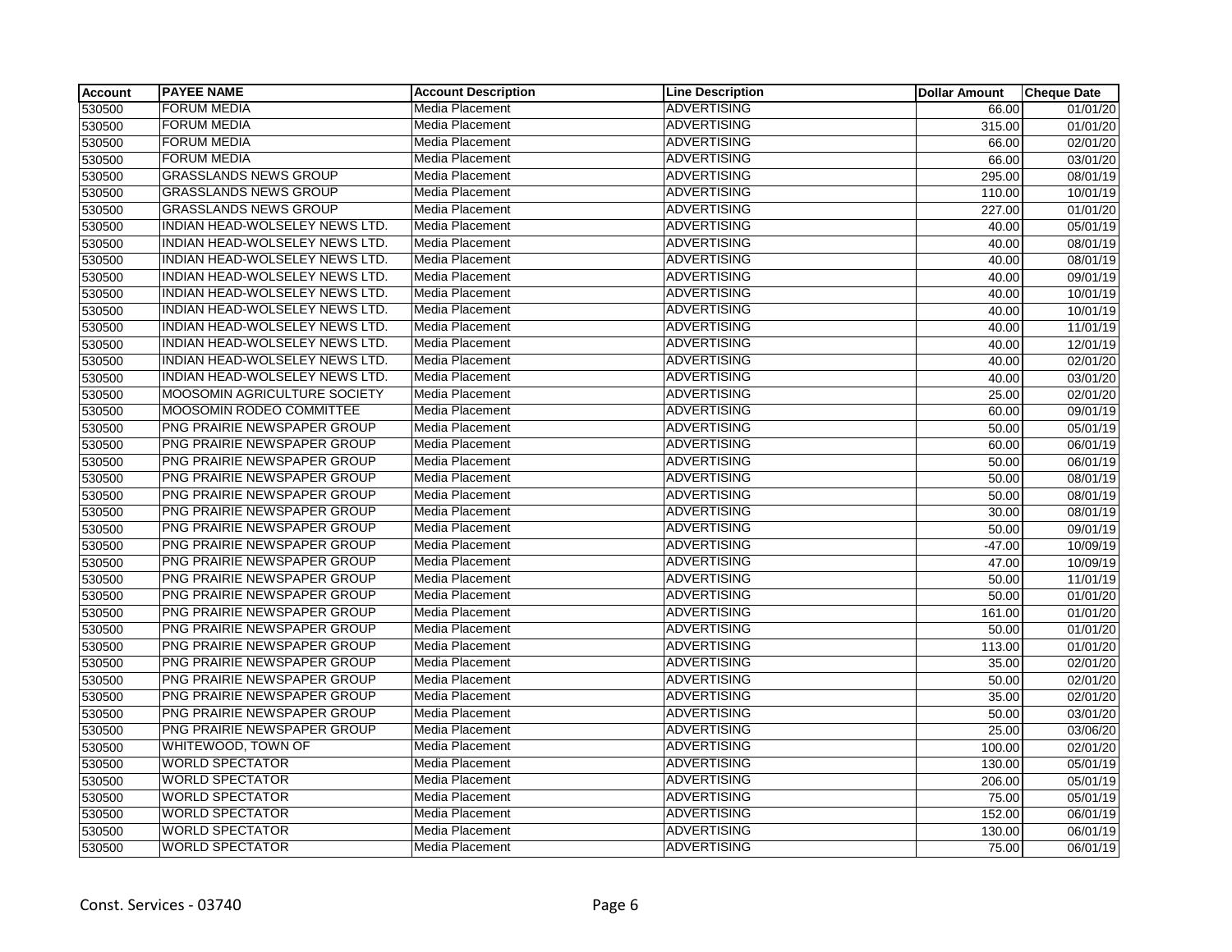| <b>Account</b> | <b>PAYEE NAME</b>                     | <b>Account Description</b> | <b>Line Description</b> | <b>Dollar Amount</b> | <b>Cheque Date</b> |
|----------------|---------------------------------------|----------------------------|-------------------------|----------------------|--------------------|
| 530500         | <b>FORUM MEDIA</b>                    | Media Placement            | <b>ADVERTISING</b>      | 66.00                | 01/01/20           |
| 530500         | <b>FORUM MEDIA</b>                    | Media Placement            | <b>ADVERTISING</b>      | 315.00               | 01/01/20           |
| 530500         | <b>FORUM MEDIA</b>                    | Media Placement            | <b>ADVERTISING</b>      | 66.00                | 02/01/20           |
| 530500         | <b>FORUM MEDIA</b>                    | Media Placement            | <b>ADVERTISING</b>      | 66.00                | 03/01/20           |
| 530500         | <b>GRASSLANDS NEWS GROUP</b>          | Media Placement            | <b>ADVERTISING</b>      | 295.00               | 08/01/19           |
| 530500         | <b>GRASSLANDS NEWS GROUP</b>          | Media Placement            | ADVERTISING             | 110.00               | 10/01/19           |
| 530500         | <b>GRASSLANDS NEWS GROUP</b>          | Media Placement            | <b>ADVERTISING</b>      | 227.00               | 01/01/20           |
| 530500         | INDIAN HEAD-WOLSELEY NEWS LTD.        | Media Placement            | <b>ADVERTISING</b>      | 40.00                | 05/01/19           |
| 530500         | INDIAN HEAD-WOLSELEY NEWS LTD.        | Media Placement            | <b>ADVERTISING</b>      | 40.00                | 08/01/19           |
| 530500         | INDIAN HEAD-WOLSELEY NEWS LTD.        | Media Placement            | <b>ADVERTISING</b>      | 40.00                | 08/01/19           |
| 530500         | INDIAN HEAD-WOLSELEY NEWS LTD.        | Media Placement            | <b>ADVERTISING</b>      | 40.00                | 09/01/19           |
| 530500         | INDIAN HEAD-WOLSELEY NEWS LTD.        | Media Placement            | <b>ADVERTISING</b>      | 40.00                | 10/01/19           |
| 530500         | INDIAN HEAD-WOLSELEY NEWS LTD.        | <b>Media Placement</b>     | <b>ADVERTISING</b>      | 40.00                | 10/01/19           |
| 530500         | INDIAN HEAD-WOLSELEY NEWS LTD.        | Media Placement            | <b>ADVERTISING</b>      | 40.00                | 11/01/19           |
| 530500         | INDIAN HEAD-WOLSELEY NEWS LTD.        | Media Placement            | <b>ADVERTISING</b>      | 40.00                | 12/01/19           |
| 530500         | INDIAN HEAD-WOLSELEY NEWS LTD.        | Media Placement            | <b>ADVERTISING</b>      | 40.00                | 02/01/20           |
| 530500         | <b>INDIAN HEAD-WOLSELEY NEWS LTD.</b> | Media Placement            | <b>ADVERTISING</b>      | 40.00                | 03/01/20           |
| 530500         | <b>MOOSOMIN AGRICULTURE SOCIETY</b>   | Media Placement            | <b>ADVERTISING</b>      | 25.00                | 02/01/20           |
| 530500         | MOOSOMIN RODEO COMMITTEE              | <b>Media Placement</b>     | <b>ADVERTISING</b>      | 60.00                | 09/01/19           |
| 530500         | PNG PRAIRIE NEWSPAPER GROUP           | Media Placement            | <b>ADVERTISING</b>      | 50.00                | 05/01/19           |
| 530500         | PNG PRAIRIE NEWSPAPER GROUP           | Media Placement            | <b>ADVERTISING</b>      | 60.00                | 06/01/19           |
| 530500         | PNG PRAIRIE NEWSPAPER GROUP           | Media Placement            | ADVERTISING             | 50.00                | 06/01/19           |
| 530500         | PNG PRAIRIE NEWSPAPER GROUP           | Media Placement            | <b>ADVERTISING</b>      | 50.00                | 08/01/19           |
| 530500         | PNG PRAIRIE NEWSPAPER GROUP           | Media Placement            | <b>ADVERTISING</b>      | 50.00                | 08/01/19           |
| 530500         | PNG PRAIRIE NEWSPAPER GROUP           | Media Placement            | <b>ADVERTISING</b>      | 30.00                | 08/01/19           |
| 530500         | PNG PRAIRIE NEWSPAPER GROUP           | Media Placement            | <b>ADVERTISING</b>      | 50.00                | 09/01/19           |
| 530500         | PNG PRAIRIE NEWSPAPER GROUP           | <b>Media Placement</b>     | <b>ADVERTISING</b>      | $-47.00$             | 10/09/19           |
| 530500         | PNG PRAIRIE NEWSPAPER GROUP           | Media Placement            | <b>ADVERTISING</b>      | 47.00                | 10/09/19           |
| 530500         | PNG PRAIRIE NEWSPAPER GROUP           | <b>Media Placement</b>     | <b>ADVERTISING</b>      | 50.00                | 11/01/19           |
| 530500         | PNG PRAIRIE NEWSPAPER GROUP           | <b>Media Placement</b>     | <b>ADVERTISING</b>      | 50.00                | 01/01/20           |
| 530500         | PNG PRAIRIE NEWSPAPER GROUP           | Media Placement            | <b>ADVERTISING</b>      | 161.00               | 01/01/20           |
| 530500         | PNG PRAIRIE NEWSPAPER GROUP           | <b>Media Placement</b>     | <b>ADVERTISING</b>      | 50.00                | 01/01/20           |
| 530500         | PNG PRAIRIE NEWSPAPER GROUP           | Media Placement            | <b>ADVERTISING</b>      | 113.00               | 01/01/20           |
| 530500         | PNG PRAIRIE NEWSPAPER GROUP           | Media Placement            | <b>ADVERTISING</b>      | 35.00                | 02/01/20           |
| 530500         | PNG PRAIRIE NEWSPAPER GROUP           | Media Placement            | <b>ADVERTISING</b>      | 50.00                | 02/01/20           |
| 530500         | PNG PRAIRIE NEWSPAPER GROUP           | Media Placement            | <b>ADVERTISING</b>      | 35.00                | 02/01/20           |
| 530500         | PNG PRAIRIE NEWSPAPER GROUP           | Media Placement            | <b>ADVERTISING</b>      | 50.00                | 03/01/20           |
| 530500         | <b>PNG PRAIRIE NEWSPAPER GROUP</b>    | Media Placement            | <b>ADVERTISING</b>      | 25.00                | 03/06/20           |
| 530500         | WHITEWOOD, TOWN OF                    | Media Placement            | <b>ADVERTISING</b>      | 100.00               | 02/01/20           |
| 530500         | <b>WORLD SPECTATOR</b>                | Media Placement            | <b>ADVERTISING</b>      | 130.00               | 05/01/19           |
| 530500         | <b>WORLD SPECTATOR</b>                | Media Placement            | <b>ADVERTISING</b>      | 206.00               | 05/01/19           |
| 530500         | <b>WORLD SPECTATOR</b>                | Media Placement            | <b>ADVERTISING</b>      | 75.00                | 05/01/19           |
| 530500         | <b>WORLD SPECTATOR</b>                | Media Placement            | <b>ADVERTISING</b>      | 152.00               | 06/01/19           |
| 530500         | <b>WORLD SPECTATOR</b>                | Media Placement            | <b>ADVERTISING</b>      | 130.00               | 06/01/19           |
| 530500         | <b>WORLD SPECTATOR</b>                | Media Placement            | <b>ADVERTISING</b>      | 75.00                | 06/01/19           |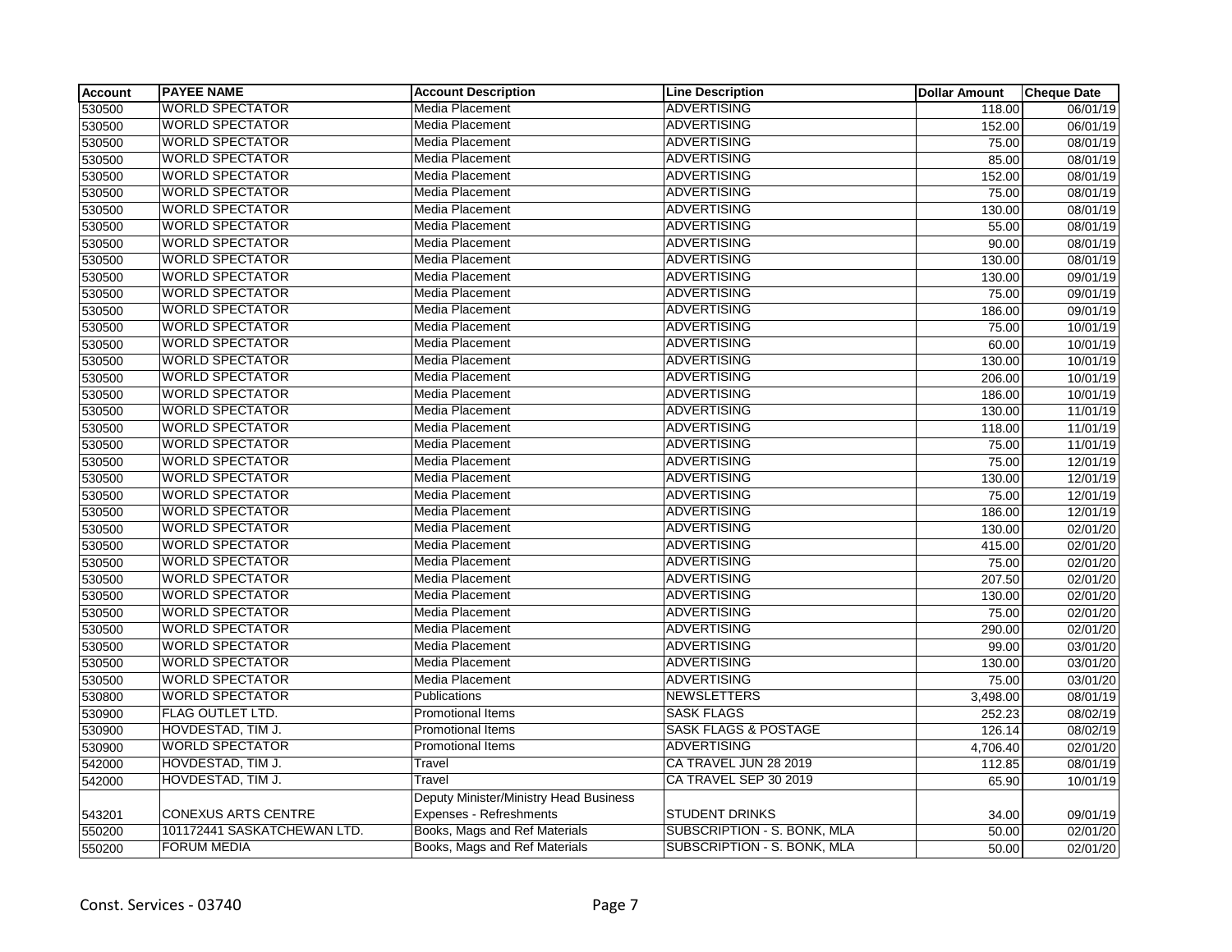| <b>Account</b> | <b>PAYEE NAME</b>           | <b>Account Description</b>             | <b>Line Description</b>         | <b>Dollar Amount</b> | <b>Cheque Date</b>    |
|----------------|-----------------------------|----------------------------------------|---------------------------------|----------------------|-----------------------|
| 530500         | <b>WORLD SPECTATOR</b>      | Media Placement                        | <b>ADVERTISING</b>              | 118.00               | 06/01/19              |
| 530500         | <b>WORLD SPECTATOR</b>      | Media Placement                        | <b>ADVERTISING</b>              | 152.00               | 06/01/19              |
| 530500         | <b>WORLD SPECTATOR</b>      | <b>Media Placement</b>                 | <b>ADVERTISING</b>              | 75.00                | 08/01/19              |
| 530500         | <b>WORLD SPECTATOR</b>      | <b>Media Placement</b>                 | <b>ADVERTISING</b>              | 85.00                | 08/01/19              |
| 530500         | <b>WORLD SPECTATOR</b>      | Media Placement                        | <b>ADVERTISING</b>              | 152.00               | 08/01/19              |
| 530500         | <b>WORLD SPECTATOR</b>      | <b>Media Placement</b>                 | <b>ADVERTISING</b>              | 75.00                | 08/01/19              |
| 530500         | <b>WORLD SPECTATOR</b>      | Media Placement                        | <b>ADVERTISING</b>              | 130.00               | 08/01/19              |
| 530500         | <b>WORLD SPECTATOR</b>      | <b>Media Placement</b>                 | <b>ADVERTISING</b>              | 55.00                | 08/01/19              |
| 530500         | <b>WORLD SPECTATOR</b>      | <b>Media Placement</b>                 | <b>ADVERTISING</b>              | 90.00                | 08/01/19              |
| 530500         | <b>WORLD SPECTATOR</b>      | Media Placement                        | <b>ADVERTISING</b>              | 130.00               | 08/01/19              |
| 530500         | <b>WORLD SPECTATOR</b>      | <b>Media Placement</b>                 | <b>ADVERTISING</b>              | 130.00               | 09/01/19              |
| 530500         | <b>WORLD SPECTATOR</b>      | Media Placement                        | <b>ADVERTISING</b>              | 75.00                | 09/01/19              |
| 530500         | <b>WORLD SPECTATOR</b>      | Media Placement                        | ADVERTISING                     | 186.00               | 09/01/19              |
| 530500         | <b>WORLD SPECTATOR</b>      | Media Placement                        | <b>ADVERTISING</b>              | 75.00                | 10/01/19              |
| 530500         | <b>WORLD SPECTATOR</b>      | Media Placement                        | <b>ADVERTISING</b>              | 60.00                | 10/01/19              |
| 530500         | <b>WORLD SPECTATOR</b>      | <b>Media Placement</b>                 | <b>ADVERTISING</b>              | 130.00               | 10/01/19              |
| 530500         | <b>WORLD SPECTATOR</b>      | Media Placement                        | <b>ADVERTISING</b>              | 206.00               | 10/01/19              |
| 530500         | <b>WORLD SPECTATOR</b>      | Media Placement                        | <b>ADVERTISING</b>              | 186.00               | 10/01/19              |
| 530500         | <b>WORLD SPECTATOR</b>      | <b>Media Placement</b>                 | <b>ADVERTISING</b>              | 130.00               | 11/01/19              |
| 530500         | <b>WORLD SPECTATOR</b>      | Media Placement                        | <b>ADVERTISING</b>              | 118.00               | 11/01/19              |
| 530500         | <b>WORLD SPECTATOR</b>      | Media Placement                        | <b>ADVERTISING</b>              | 75.00                | 11/01/19              |
| 530500         | <b>WORLD SPECTATOR</b>      | Media Placement                        | ADVERTISING                     | 75.00                | 12/01/19              |
| 530500         | <b>WORLD SPECTATOR</b>      | Media Placement                        | <b>ADVERTISING</b>              | 130.00               | 12/01/19              |
| 530500         | <b>WORLD SPECTATOR</b>      | <b>Media Placement</b>                 | <b>ADVERTISING</b>              | 75.00                | 12/01/19              |
| 530500         | <b>WORLD SPECTATOR</b>      | Media Placement                        | <b>ADVERTISING</b>              | 186.00               | 12/01/19              |
| 530500         | <b>WORLD SPECTATOR</b>      | Media Placement                        | <b>ADVERTISING</b>              | 130.00               | 02/01/20              |
| 530500         | <b>WORLD SPECTATOR</b>      | Media Placement                        | <b>ADVERTISING</b>              | 415.00               | 02/01/20              |
| 530500         | <b>WORLD SPECTATOR</b>      | <b>Media Placement</b>                 | ADVERTISING                     | 75.00                | 02/01/20              |
| 530500         | <b>WORLD SPECTATOR</b>      | Media Placement                        | <b>ADVERTISING</b>              | 207.50               | 02/01/20              |
| 530500         | <b>WORLD SPECTATOR</b>      | <b>Media Placement</b>                 | ADVERTISING                     | 130.00               | $\overline{02/0}1/20$ |
| 530500         | <b>WORLD SPECTATOR</b>      | Media Placement                        | <b>ADVERTISING</b>              | 75.00                | 02/01/20              |
| 530500         | <b>WORLD SPECTATOR</b>      | Media Placement                        | <b>ADVERTISING</b>              | 290.00               | 02/01/20              |
| 530500         | <b>WORLD SPECTATOR</b>      | <b>Media Placement</b>                 | <b>ADVERTISING</b>              | 99.00                | 03/01/20              |
| 530500         | <b>WORLD SPECTATOR</b>      | Media Placement                        | <b>ADVERTISING</b>              | 130.00               | 03/01/20              |
| 530500         | <b>WORLD SPECTATOR</b>      | <b>Media Placement</b>                 | <b>ADVERTISING</b>              | 75.00                | 03/01/20              |
| 530800         | <b>WORLD SPECTATOR</b>      | Publications                           | <b>NEWSLETTERS</b>              | 3,498.00             | 08/01/19              |
| 530900         | FLAG OUTLET LTD.            | Promotional Items                      | <b>SASK FLAGS</b>               | 252.23               | 08/02/19              |
| 530900         | HOVDESTAD, TIM J.           | Promotional Items                      | <b>SASK FLAGS &amp; POSTAGE</b> | 126.14               | 08/02/19              |
| 530900         | <b>WORLD SPECTATOR</b>      | <b>Promotional Items</b>               | <b>ADVERTISING</b>              | 4,706.40             | 02/01/20              |
| 542000         | HOVDESTAD, TIM J.           | Travel                                 | CA TRAVEL JUN 28 2019           | 112.85               | 08/01/19              |
| 542000         | HOVDESTAD, TIM J.           | Travel                                 | CA TRAVEL SEP 30 2019           | 65.90                | 10/01/19              |
|                |                             | Deputy Minister/Ministry Head Business |                                 |                      |                       |
| 543201         | <b>CONEXUS ARTS CENTRE</b>  | Expenses - Refreshments                | <b>STUDENT DRINKS</b>           | 34.00                | 09/01/19              |
| 550200         | 101172441 SASKATCHEWAN LTD. | Books, Mags and Ref Materials          | SUBSCRIPTION - S. BONK, MLA     | 50.00                | 02/01/20              |
| 550200         | <b>FORUM MEDIA</b>          | Books, Mags and Ref Materials          | SUBSCRIPTION - S. BONK, MLA     | 50.00                | 02/01/20              |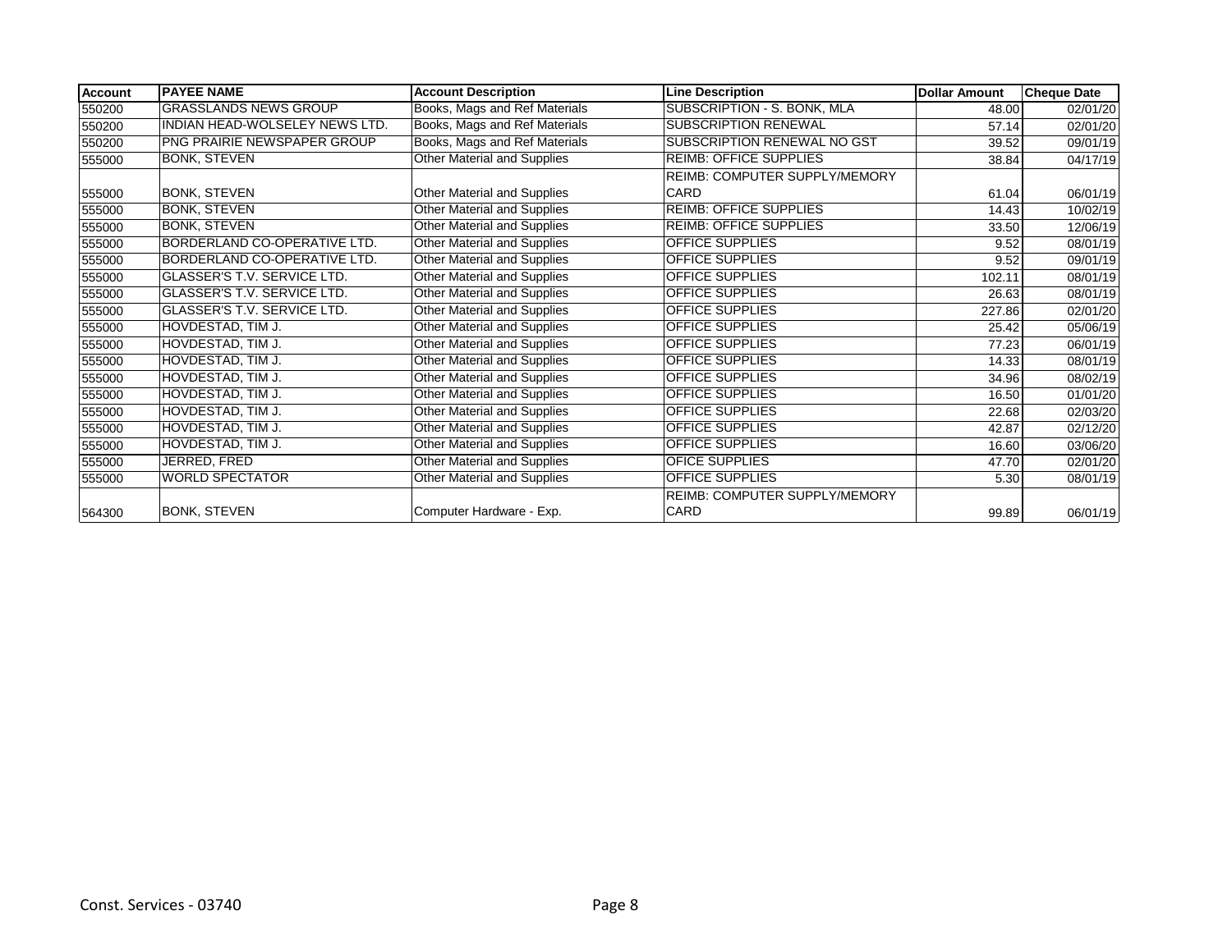| <b>Account</b> | <b>PAYEE NAME</b>                     | <b>Account Description</b>    | <b>Line Description</b>              | <b>Dollar Amount</b> | <b>Cheque Date</b> |
|----------------|---------------------------------------|-------------------------------|--------------------------------------|----------------------|--------------------|
| 550200         | <b>GRASSLANDS NEWS GROUP</b>          | Books, Mags and Ref Materials | SUBSCRIPTION - S. BONK, MLA          | 48.00                | 02/01/20           |
| 550200         | <b>INDIAN HEAD-WOLSELEY NEWS LTD.</b> | Books, Mags and Ref Materials | <b>SUBSCRIPTION RENEWAL</b>          | 57.14                | 02/01/20           |
| 550200         | PNG PRAIRIE NEWSPAPER GROUP           | Books, Mags and Ref Materials | SUBSCRIPTION RENEWAL NO GST          | 39.52                | 09/01/19           |
| 555000         | <b>BONK, STEVEN</b>                   | Other Material and Supplies   | <b>REIMB: OFFICE SUPPLIES</b>        | 38.84                | 04/17/19           |
|                |                                       |                               | <b>REIMB: COMPUTER SUPPLY/MEMORY</b> |                      |                    |
| 555000         | <b>BONK, STEVEN</b>                   | Other Material and Supplies   | CARD                                 | 61.04                | 06/01/19           |
| 555000         | <b>BONK, STEVEN</b>                   | Other Material and Supplies   | <b>REIMB: OFFICE SUPPLIES</b>        | 14.43                | 10/02/19           |
| 555000         | <b>BONK, STEVEN</b>                   | Other Material and Supplies   | <b>REIMB: OFFICE SUPPLIES</b>        | 33.50                | 12/06/19           |
| 555000         | BORDERLAND CO-OPERATIVE LTD.          | Other Material and Supplies   | OFFICE SUPPLIES                      | 9.52                 | 08/01/19           |
| 555000         | BORDERLAND CO-OPERATIVE LTD.          | Other Material and Supplies   | OFFICE SUPPLIES                      | 9.52                 | 09/01/19           |
| 555000         | GLASSER'S T.V. SERVICE LTD.           | Other Material and Supplies   | <b>OFFICE SUPPLIES</b>               | 102.11               | 08/01/19           |
| 555000         | GLASSER'S T.V. SERVICE LTD.           | Other Material and Supplies   | OFFICE SUPPLIES                      | 26.63                | 08/01/19           |
| 555000         | GLASSER'S T.V. SERVICE LTD.           | Other Material and Supplies   | OFFICE SUPPLIES                      | 227.86               | 02/01/20           |
| 555000         | HOVDESTAD, TIM J.                     | Other Material and Supplies   | <b>OFFICE SUPPLIES</b>               | 25.42                | 05/06/19           |
| 555000         | HOVDESTAD, TIM J.                     | Other Material and Supplies   | OFFICE SUPPLIES                      | 77.23                | 06/01/19           |
| 555000         | HOVDESTAD, TIM J.                     | Other Material and Supplies   | <b>OFFICE SUPPLIES</b>               | 14.33                | 08/01/19           |
| 555000         | HOVDESTAD, TIM J.                     | Other Material and Supplies   | <b>OFFICE SUPPLIES</b>               | 34.96                | 08/02/19           |
| 555000         | HOVDESTAD, TIM J.                     | Other Material and Supplies   | <b>OFFICE SUPPLIES</b>               | 16.50                | 01/01/20           |
| 555000         | HOVDESTAD, TIM J.                     | Other Material and Supplies   | <b>OFFICE SUPPLIES</b>               | 22.68                | 02/03/20           |
| 555000         | HOVDESTAD, TIM J.                     | Other Material and Supplies   | <b>OFFICE SUPPLIES</b>               | 42.87                | 02/12/20           |
| 555000         | HOVDESTAD, TIM J.                     | Other Material and Supplies   | <b>OFFICE SUPPLIES</b>               | 16.60                | 03/06/20           |
| 555000         | JERRED, FRED                          | Other Material and Supplies   | OFICE SUPPLIES                       | 47.70                | 02/01/20           |
| 555000         | <b>WORLD SPECTATOR</b>                | Other Material and Supplies   | OFFICE SUPPLIES                      | 5.30                 | 08/01/19           |
|                |                                       |                               | REIMB: COMPUTER SUPPLY/MEMORY        |                      |                    |
| 564300         | <b>BONK, STEVEN</b>                   | Computer Hardware - Exp.      | CARD                                 | 99.89                | 06/01/19           |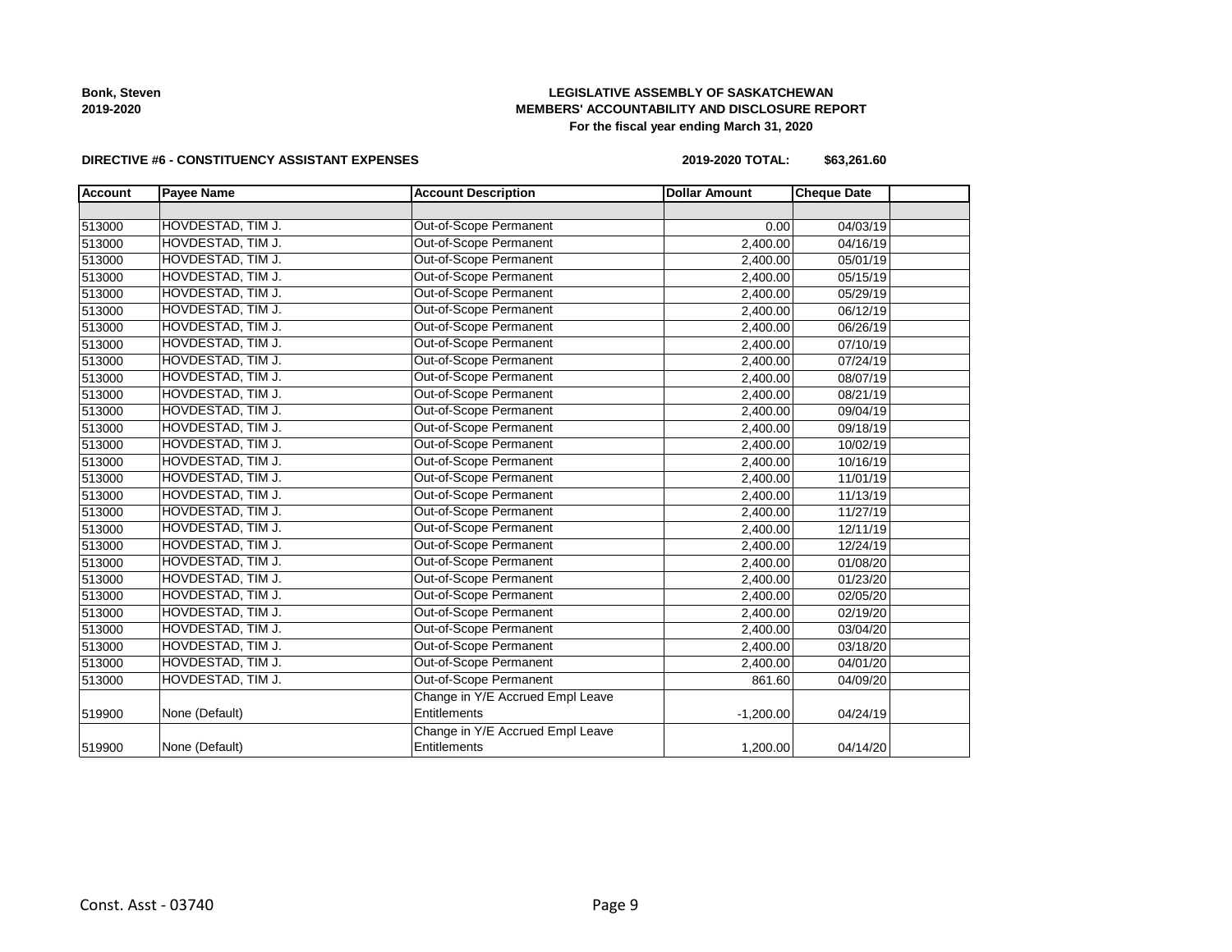

# **LEGISLATIVE ASSEMBLY OF SASKATCHEWAN MEMBERS' ACCOUNTABILITY AND DISCLOSURE REPORT For the fiscal year ending March 31, 2020**

#### **DIRECTIVE #6 - CONSTITUENCY ASSISTANT EXPENSES**

**2019-2020 TOTAL: \$63,261.60**

| <b>Account</b> | <b>Payee Name</b> | <b>Account Description</b>       | <b>Dollar Amount</b> | <b>Cheque Date</b> |  |
|----------------|-------------------|----------------------------------|----------------------|--------------------|--|
|                |                   |                                  |                      |                    |  |
| 513000         | HOVDESTAD, TIM J. | Out-of-Scope Permanent           | 0.00                 | 04/03/19           |  |
| 513000         | HOVDESTAD, TIM J. | Out-of-Scope Permanent           | 2,400.00             | 04/16/19           |  |
| 513000         | HOVDESTAD, TIM J. | Out-of-Scope Permanent           | 2,400.00             | 05/01/19           |  |
| 513000         | HOVDESTAD, TIM J. | Out-of-Scope Permanent           | 2,400.00             | 05/15/19           |  |
| 513000         | HOVDESTAD, TIM J. | Out-of-Scope Permanent           | 2,400.00             | 05/29/19           |  |
| 513000         | HOVDESTAD, TIM J. | Out-of-Scope Permanent           | 2,400.00             | 06/12/19           |  |
| 513000         | HOVDESTAD, TIM J. | Out-of-Scope Permanent           | 2,400.00             | 06/26/19           |  |
| 513000         | HOVDESTAD, TIM J. | Out-of-Scope Permanent           | 2,400.00             | 07/10/19           |  |
| 513000         | HOVDESTAD, TIM J. | Out-of-Scope Permanent           | 2,400.00             | 07/24/19           |  |
| 513000         | HOVDESTAD, TIM J. | Out-of-Scope Permanent           | 2,400.00             | 08/07/19           |  |
| 513000         | HOVDESTAD, TIM J. | Out-of-Scope Permanent           | 2,400.00             | 08/21/19           |  |
| 513000         | HOVDESTAD, TIM J. | Out-of-Scope Permanent           | 2,400.00             | 09/04/19           |  |
| 513000         | HOVDESTAD, TIM J. | Out-of-Scope Permanent           | 2,400.00             | 09/18/19           |  |
| 513000         | HOVDESTAD, TIM J. | Out-of-Scope Permanent           | 2,400.00             | 10/02/19           |  |
| 513000         | HOVDESTAD, TIM J. | Out-of-Scope Permanent           | 2,400.00             | 10/16/19           |  |
| 513000         | HOVDESTAD, TIM J. | Out-of-Scope Permanent           | 2,400.00             | 11/01/19           |  |
| 513000         | HOVDESTAD, TIM J. | Out-of-Scope Permanent           | 2,400.00             | 11/13/19           |  |
| 513000         | HOVDESTAD, TIM J. | Out-of-Scope Permanent           | 2,400.00             | 11/27/19           |  |
| 513000         | HOVDESTAD, TIM J. | Out-of-Scope Permanent           | 2,400.00             | 12/11/19           |  |
| 513000         | HOVDESTAD, TIM J. | Out-of-Scope Permanent           | 2,400.00             | 12/24/19           |  |
| 513000         | HOVDESTAD, TIM J. | Out-of-Scope Permanent           | 2,400.00             | 01/08/20           |  |
| 513000         | HOVDESTAD, TIM J. | Out-of-Scope Permanent           | 2,400.00             | 01/23/20           |  |
| 513000         | HOVDESTAD, TIM J. | Out-of-Scope Permanent           | 2,400.00             | 02/05/20           |  |
| 513000         | HOVDESTAD, TIM J. | Out-of-Scope Permanent           | 2,400.00             | 02/19/20           |  |
| 513000         | HOVDESTAD, TIM J. | Out-of-Scope Permanent           | 2,400.00             | 03/04/20           |  |
| 513000         | HOVDESTAD, TIM J. | Out-of-Scope Permanent           | 2,400.00             | 03/18/20           |  |
| 513000         | HOVDESTAD, TIM J. | Out-of-Scope Permanent           | 2,400.00             | 04/01/20           |  |
| 513000         | HOVDESTAD, TIM J. | Out-of-Scope Permanent           | 861.60               | 04/09/20           |  |
|                |                   | Change in Y/E Accrued Empl Leave |                      |                    |  |
| 519900         | None (Default)    | Entitlements                     | $-1,200.00$          | 04/24/19           |  |
|                |                   | Change in Y/E Accrued Empl Leave |                      |                    |  |
| 519900         | None (Default)    | Entitlements                     | 1,200.00             | 04/14/20           |  |